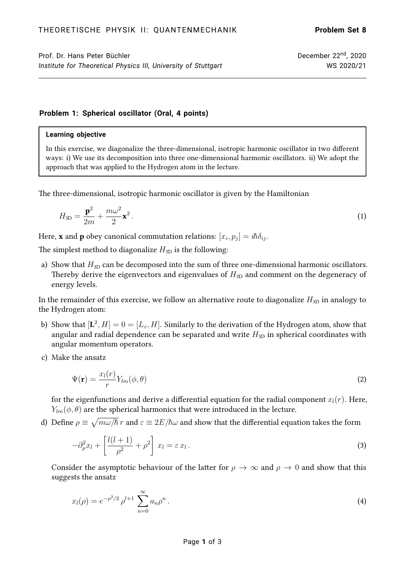## **Problem 1: Spherical oscillator (Oral, 4 points)**

## **Learning objective**

In this exercise, we diagonalize the three-dimensional, isotropic harmonic oscillator in two different ways: i) We use its decomposition into three one-dimensional harmonic oscillators. ii) We adopt the approach that was applied to the Hydrogen atom in the lecture.

The three-dimensional, isotropic harmonic oscillator is given by the Hamiltonian

$$
H_{3D} = \frac{\mathbf{p}^2}{2m} + \frac{m\omega^2}{2}\mathbf{x}^2.
$$
 (1)

Here, **x** and **p** obey canonical commutation relations:  $[x_i, p_j] = i\hbar \delta_{ij}.$ 

The simplest method to diagonalize  $H_{3D}$  is the following:

a) Show that  $H_{3D}$  can be decomposed into the sum of three one-dimensional harmonic oscillators. Thereby derive the eigenvectors and eigenvalues of  $H_{3D}$  and comment on the degeneracy of energy levels.

In the remainder of this exercise, we follow an alternative route to diagonalize  $H_{3D}$  in analogy to the Hydrogen atom:

- b) Show that  $[\mathbf{L}^2, H] = 0 = [L_z, H].$  Similarly to the derivation of the Hydrogen atom, show that angular and radial dependence can be separated and write  $H_{3D}$  in spherical coordinates with angular momentum operators.
- c) Make the ansatz

$$
\Psi(\mathbf{r}) = \frac{x_l(r)}{r} Y_{lm}(\phi, \theta)
$$
\n(2)

for the eigenfunctions and derive a differential equation for the radial component  $x_l(r)$ . Here,  $Y_{lm}(\phi, \theta)$  are the spherical harmonics that were introduced in the lecture.

d) Define  $\rho\equiv\sqrt{m\omega/\hbar}\,r$  and  $\varepsilon\equiv 2E/\hbar\omega$  and show that the differential equation takes the form

$$
-\partial_{\rho}^{2}x_{l}+\left[\frac{l(l+1)}{\rho^{2}}+\rho^{2}\right]x_{l}=\varepsilon x_{l}.
$$
\n(3)

Consider the asymptotic behaviour of the latter for  $\rho \to \infty$  and  $\rho \to 0$  and show that this suggests the ansatz

$$
x_l(\rho) = e^{-\rho^2/2} \rho^{l+1} \sum_{n=0}^{\infty} a_n \rho^n.
$$
 (4)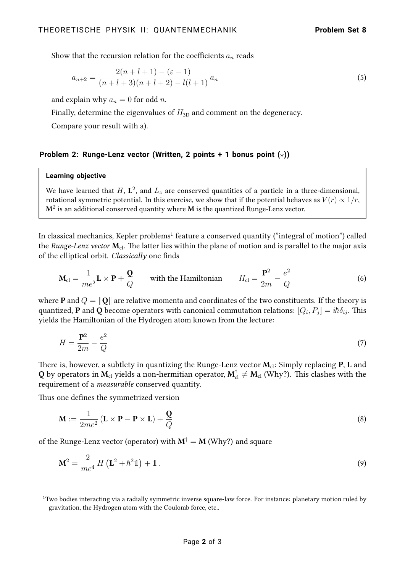Show that the recursion relation for the coefficients  $a_n$  reads

$$
a_{n+2} = \frac{2(n+l+1) - (\varepsilon - 1)}{(n+l+3)(n+l+2) - l(l+1)} a_n
$$
\n(5)

and explain why  $a_n = 0$  for odd *n*.

Finally, determine the eigenvalues of  $H_{3D}$  and comment on the degeneracy.

Compare your result with a).

## **Problem 2: Runge-Lenz vector (Written, 2 points + 1 bonus point**  $(\star)$ **)**

## **Learning objective**

We have learned that  $H$ ,  $\mathbf{L}^2$ , and  $L_z$  are conserved quantities of a particle in a three-dimensional, rotational symmetric potential. In this exercise, we show that if the potential behaves as  $V(r) \propto 1/r$ ,  $\mathbf{M}^2$  is an additional conserved quantity where  $\mathbf M$  is the quantized Runge-Lenz vector.

In classical mechanics, Kepler problems $^{\rm 1}$  $^{\rm 1}$  $^{\rm 1}$  feature a conserved quantity ("integral of motion") called the Runge-Lenz vector  $M_{cl}$ . The latter lies within the plane of motion and is parallel to the major axis of the elliptical orbit. Classically one finds

$$
\mathbf{M}_{\rm cl} = \frac{1}{me^2} \mathbf{L} \times \mathbf{P} + \frac{\mathbf{Q}}{Q} \qquad \text{with the Hamiltonian} \qquad H_{\rm cl} = \frac{\mathbf{P}^2}{2m} - \frac{e^2}{Q} \tag{6}
$$

where **P** and  $Q = ||\mathbf{Q}||$  are relative momenta and coordinates of the two constituents. If the theory is quantized,  ${\bf P}$  and  ${\bf Q}$  become operators with canonical commutation relations:  $[Q_i,P_j]=i\hbar\delta_{ij}.$  This yields the Hamiltonian of the Hydrogen atom known from the lecture:

$$
H = \frac{\mathbf{P}^2}{2m} - \frac{e^2}{Q} \tag{7}
$$

There is, however, a subtlety in quantizing the Runge-Lenz vector  $M_{cl}$ : Simply replacing P, L and  $Q$  by operators in  $M_{\rm cl}$  yields a non-hermitian operator,  $M_{\rm cl}^\dagger\neq M_{\rm cl}$  (Why?). This clashes with the requirement of a measurable conserved quantity.

Thus one defines the symmetrized version

$$
\mathbf{M} := \frac{1}{2me^2} \left( \mathbf{L} \times \mathbf{P} - \mathbf{P} \times \mathbf{L} \right) + \frac{\mathbf{Q}}{Q}
$$
 (8)

of the Runge-Lenz vector (operator) with  $M^{\dagger} = M$  (Why?) and square

$$
\mathbf{M}^2 = \frac{2}{me^4} H \left( \mathbf{L}^2 + \hbar^2 \mathbf{1} \right) + \mathbf{1} \,. \tag{9}
$$

<span id="page-1-0"></span><sup>&</sup>lt;sup>1</sup>Two bodies interacting via a radially symmetric inverse square-law force. For instance: planetary motion ruled by gravitation, the Hydrogen atom with the Coulomb force, etc..